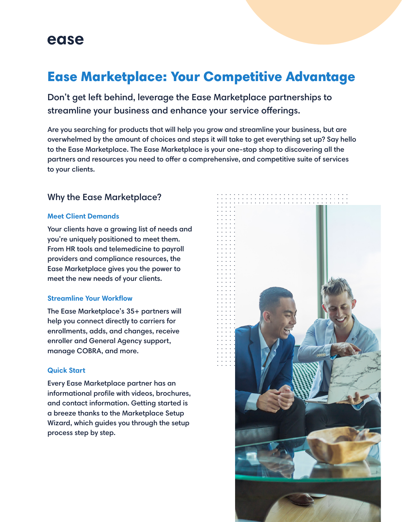## ease

# Ease Marketplace: Your Competitive Advantage

Don't get left behind, leverage the Ease Marketplace partnerships to streamline your business and enhance your service offerings.

Are you searching for products that will help you grow and streamline your business, but are overwhelmed by the amount of choices and steps it will take to get everything set up? Say hello to the Ease Marketplace. The Ease Marketplace is your one-stop shop to discovering all the partners and resources you need to offer a comprehensive, and competitive suite of services to your clients.

## Why the Ease Marketplace?

#### **Meet Client Demands**

Your clients have a growing list of needs and you're uniquely positioned to meet them. From HR tools and telemedicine to payroll providers and compliance resources, the Ease Marketplace gives you the power to meet the new needs of your clients.

#### **Streamline Your Workflow**

The Ease Marketplace's 35+ partners will help you connect directly to carriers for enrollments, adds, and changes, receive enroller and General Agency support, manage COBRA, and more.

#### **Quick Start**

Every Ease Marketplace partner has an informational profile with videos, brochures, and contact information. Getting started is a breeze thanks to the Marketplace Setup Wizard, which guides you through the setup process step by step.

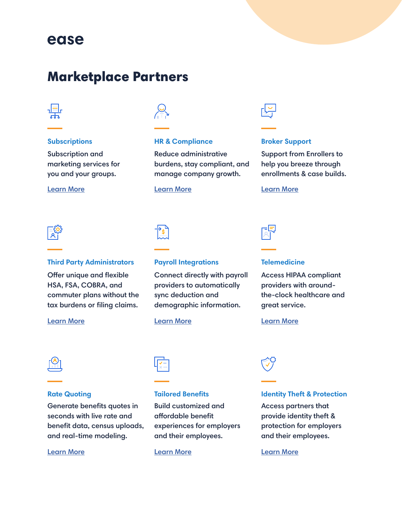# ease

# Marketplace Partners



#### **Subscriptions**

Subscription and marketing services for you and your groups.



### **HR & Compliance**

Reduce administrative burdens, stay compliant, and manage company growth.

#### Learn More Learn More Learn More



### **Broker Support**

Support from Enrollers to help you breeze through enrollments & case builds.

### **Third Party Administrators**

Offer unique and flexible HSA, FSA, COBRA, and commuter plans without the tax burdens or filing claims.

#### Learn More Learn More Learn More



### **Payroll Integrations**

Connect directly with payroll providers to automatically sync deduction and demographic information.

#### **Telemedicine**

Access HIPAA compliant providers with aroundthe-clock healthcare and great service.



#### **Rate Quoting**

Generate benefits quotes in seconds with live rate and benefit data, census uploads, and real-time modeling.

#### Learn More



**Tailored Benefits**

Build customized and affordable benefit

and their employees.

experiences for employers

### **Identity Theft & Protection**

Access partners that provide identity theft & protection for employers and their employees.